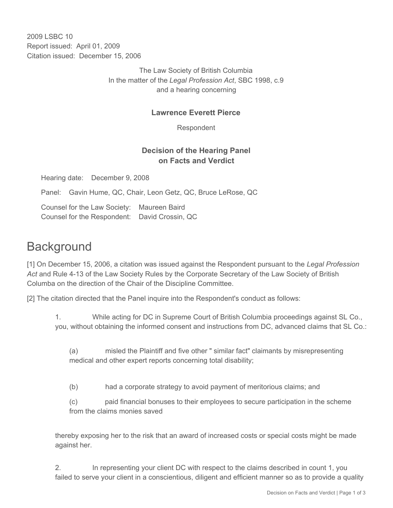2009 LSBC 10 Report issued: April 01, 2009 Citation issued: December 15, 2006

> The Law Society of British Columbia In the matter of the *Legal Profession Act*, SBC 1998, c.9 and a hearing concerning

### **Lawrence Everett Pierce**

Respondent

### **Decision of the Hearing Panel on Facts and Verdict**

Hearing date: December 9, 2008

Panel: Gavin Hume, QC, Chair, Leon Getz, QC, Bruce LeRose, QC

Counsel for the Law Society: Maureen Baird Counsel for the Respondent: David Crossin, QC

# **Background**

[1] On December 15, 2006, a citation was issued against the Respondent pursuant to the *Legal Profession Act* and Rule 4-13 of the Law Society Rules by the Corporate Secretary of the Law Society of British Columba on the direction of the Chair of the Discipline Committee.

[2] The citation directed that the Panel inquire into the Respondent's conduct as follows:

1. While acting for DC in Supreme Court of British Columbia proceedings against SL Co., you, without obtaining the informed consent and instructions from DC, advanced claims that SL Co.:

(a) misled the Plaintiff and five other " similar fact" claimants by misrepresenting medical and other expert reports concerning total disability;

(b) had a corporate strategy to avoid payment of meritorious claims; and

(c) paid financial bonuses to their employees to secure participation in the scheme from the claims monies saved

thereby exposing her to the risk that an award of increased costs or special costs might be made against her.

2. In representing your client DC with respect to the claims described in count 1, you failed to serve your client in a conscientious, diligent and efficient manner so as to provide a quality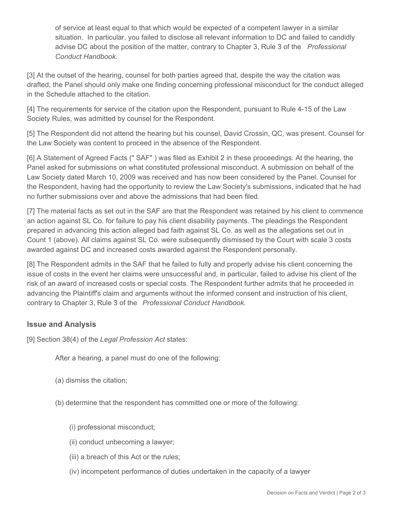of service at least equal to that which would be expected of a competent lawyer in a similar situation. In particular, you failed to disclose all relevant information to DC and failed to candidly advise DC about the position of the matter, contrary to Chapter 3, Rule 3 of the *Professional Conduct Handbook*.

[3] At the outset of the hearing, counsel for both parties agreed that, despite the way the citation was drafted, the Panel should only make one finding concerning professional misconduct for the conduct alleged in the Schedule attached to the citation.

[4] The requirements for service of the citation upon the Respondent, pursuant to Rule 4-15 of the Law Society Rules, was admitted by counsel for the Respondent.

[5] The Respondent did not attend the hearing but his counsel, David Crossin, QC, was present. Counsel for the Law Society was content to proceed in the absence of the Respondent.

[6] A Statement of Agreed Facts (" SAF" ) was filed as Exhibit 2 in these proceedings. At the hearing, the Panel asked for submissions on what constituted professional misconduct. A submission on behalf of the Law Society dated March 10, 2009 was received and has now been considered by the Panel. Counsel for the Respondent, having had the opportunity to review the Law Society's submissions, indicated that he had no further submissions over and above the admissions that had been filed.

[7] The material facts as set out in the SAF are that the Respondent was retained by his client to commence an action against SL Co. for failure to pay his client disability payments. The pleadings the Respondent prepared in advancing this action alleged bad faith against SL Co. as well as the allegations set out in Count 1 (above). All claims against SL Co. were subsequently dismissed by the Court with scale 3 costs awarded against DC and increased costs awarded against the Respondent personally.

[8] The Respondent admits in the SAF that he failed to fully and properly advise his client concerning the issue of costs in the event her claims were unsuccessful and, in particular, failed to advise his client of the risk of an award of increased costs or special costs. The Respondent further admits that he proceeded in advancing the Plaintiff's claim and arguments without the informed consent and instruction of his client, contrary to Chapter 3, Rule 3 of the *Professional Conduct Handbook*.

### **Issue and Analysis**

[9] Section 38(4) of the *Legal Profession Act* states:

After a hearing, a panel must do one of the following:

- (a) dismiss the citation;
- (b) determine that the respondent has committed one or more of the following:
	- (i) professional misconduct;
	- (ii) conduct unbecoming a lawyer;
	- (iii) a breach of this Act or the rules;
	- (iv) incompetent performance of duties undertaken in the capacity of a lawyer